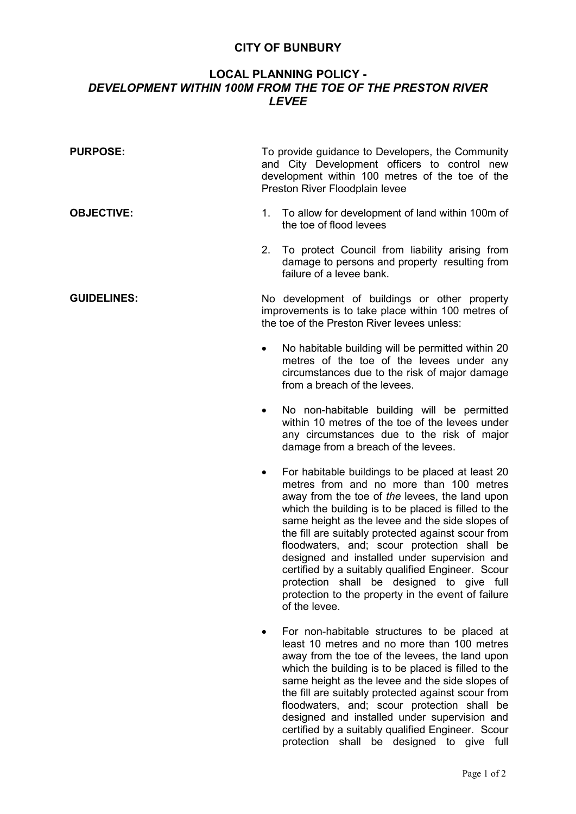## **CITY OF BUNBURY**

## **LOCAL PLANNING POLICY -**  *DEVELOPMENT WITHIN 100M FROM THE TOE OF THE PRESTON RIVER LEVEE*

| <b>PURPOSE:</b>    |                                                                                                                                                    | To provide guidance to Developers, the Community<br>and City Development officers to control new<br>development within 100 metres of the toe of the<br>Preston River Floodplain levee |
|--------------------|----------------------------------------------------------------------------------------------------------------------------------------------------|---------------------------------------------------------------------------------------------------------------------------------------------------------------------------------------|
| <b>OBJECTIVE:</b>  |                                                                                                                                                    | 1. To allow for development of land within 100m of<br>the toe of flood levees                                                                                                         |
|                    |                                                                                                                                                    | 2. To protect Council from liability arising from<br>damage to persons and property resulting from<br>failure of a levee bank.                                                        |
| <b>GUIDELINES:</b> | No development of buildings or other property<br>improvements is to take place within 100 metres of<br>the toe of the Preston River levees unless: |                                                                                                                                                                                       |
|                    | ٠                                                                                                                                                  | No habitable building will be permitted within 20<br>metres of the toe of the levees under any<br>circumstances due to the risk of major damage<br>from a breach of the levees.       |
|                    | $\bullet$                                                                                                                                          | No non-habitable building will be permitted<br>within 10 metres of the toe of the levees under<br>any circumstances due to the risk of major<br>damage from a breach of the levees.   |

- For habitable buildings to be placed at least 20 metres from and no more than 100 metres away from the toe of *the* levees, the land upon which the building is to be placed is filled to the same height as the levee and the side slopes of the fill are suitably protected against scour from floodwaters, and; scour protection shall be designed and installed under supervision and certified by a suitably qualified Engineer. Scour protection shall be designed to give full protection to the property in the event of failure of the levee.
- For non-habitable structures to be placed at least 10 metres and no more than 100 metres away from the toe of the levees, the land upon which the building is to be placed is filled to the same height as the levee and the side slopes of the fill are suitably protected against scour from floodwaters, and; scour protection shall be designed and installed under supervision and certified by a suitably qualified Engineer. Scour protection shall be designed to give full